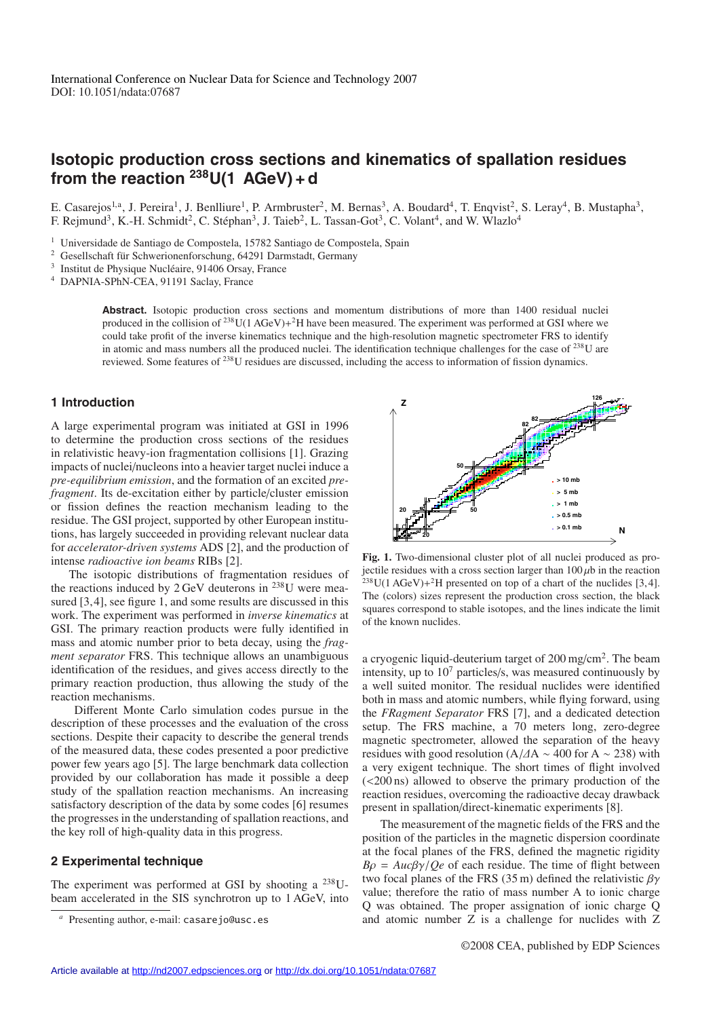# **Isotopic production cross sections and kinematics of spallation residues from the reaction 238U(1 AGeV) + d**

E. Casarejos<sup>1,a</sup>, J. Pereira<sup>1</sup>, J. Benlliure<sup>1</sup>, P. Armbruster<sup>2</sup>, M. Bernas<sup>3</sup>, A. Boudard<sup>4</sup>, T. Enqvist<sup>2</sup>, S. Leray<sup>4</sup>, B. Mustapha<sup>3</sup>, F. Reimund<sup>3</sup>, K.-H. Schmidt<sup>2</sup>, C. Stéphan<sup>3</sup>, J. Taieb<sup>2</sup>, L. Tassan-Got<sup>3</sup>, C. Volant<sup>4</sup>, and W. Wlazlo<sup>4</sup>

<sup>1</sup> Universidade de Santiago de Compostela, 15782 Santiago de Compostela, Spain

 $2$  Gesellschaft für Schwerionenforschung, 64291 Darmstadt, Germany

<sup>3</sup> Institut de Physique Nucléaire, 91406 Orsay, France

<sup>4</sup> DAPNIA-SPhN-CEA, 91191 Saclay, France

**Abstract.** Isotopic production cross sections and momentum distributions of more than 1400 residual nuclei produced in the collision of  $^{238}$ U(1 AGeV)+<sup>2</sup>H have been measured. The experiment was performed at GSI where we could take profit of the inverse kinematics technique and the high-resolution magnetic spectrometer FRS to identify in atomic and mass numbers all the produced nuclei. The identification technique challenges for the case of  $^{238}$ U are reviewed. Some features of 238U residues are discussed, including the access to information of fission dynamics.

## **1 Introduction**

A large experimental program was initiated at GSI in 1996 to determine the production cross sections of the residues in relativistic heavy-ion fragmentation collisions [1]. Grazing impacts of nuclei/nucleons into a heavier target nuclei induce a *pre-equilibrium emission*, and the formation of an excited *prefragment*. Its de-excitation either by particle/cluster emission or fission defines the reaction mechanism leading to the residue. The GSI project, supported by other European institutions, has largely succeeded in providing relevant nuclear data for *accelerator-driven systems* ADS [2], and the production of intense *radioactive ion beams* RIBs [2].

The isotopic distributions of fragmentation residues of the reactions induced by 2 GeV deuterons in 238U were measured [3, 4], see figure 1, and some results are discussed in this work. The experiment was performed in *inverse kinematics* at GSI. The primary reaction products were fully identified in mass and atomic number prior to beta decay, using the *fragment separator* FRS. This technique allows an unambiguous identification of the residues, and gives access directly to the primary reaction production, thus allowing the study of the reaction mechanisms.

Different Monte Carlo simulation codes pursue in the description of these processes and the evaluation of the cross sections. Despite their capacity to describe the general trends of the measured data, these codes presented a poor predictive power few years ago [5]. The large benchmark data collection provided by our collaboration has made it possible a deep study of the spallation reaction mechanisms. An increasing satisfactory description of the data by some codes [6] resumes the progresses in the understanding of spallation reactions, and the key roll of high-quality data in this progress.

### **2 Experimental technique**

The experiment was performed at GSI by shooting a  $^{238}$ Ubeam accelerated in the SIS synchrotron up to 1 AGeV, into



**Fig. 1.** Two-dimensional cluster plot of all nuclei produced as projectile residues with a cross section larger than  $100 \mu b$  in the reaction  $2^{238}$ U(1 AGeV)+<sup>2</sup>H presented on top of a chart of the nuclides [3,4]. The (colors) sizes represent the production cross section, the black squares correspond to stable isotopes, and the lines indicate the limit of the known nuclides.

a cryogenic liquid-deuterium target of 200 mg/cm2. The beam intensity, up to 107 particles/s, was measured continuously by a well suited monitor. The residual nuclides were identified both in mass and atomic numbers, while flying forward, using the *FRagment Separator* FRS [7], and a dedicated detection setup. The FRS machine, a 70 meters long, zero-degree magnetic spectrometer, allowed the separation of the heavy residues with good resolution (A/ $\Delta$ A ~ 400 for A ~ 238) with a very exigent technique. The short times of flight involved (<200 ns) allowed to observe the primary production of the reaction residues, overcoming the radioactive decay drawback present in spallation/direct-kinematic experiments [8].

The measurement of the magnetic fields of the FRS and the position of the particles in the magnetic dispersion coordinate at the focal planes of the FRS, defined the magnetic rigidity  $B\rho = Auc\beta\gamma/Qe$  of each residue. The time of flight between two focal planes of the FRS (35 m) defined the relativistic  $\beta\gamma$ value; therefore the ratio of mass number A to ionic charge Q was obtained. The proper assignation of ionic charge Q and atomic number Z is a challenge for nuclides with Z

Presenting author, e-mail: casarejo@usc.es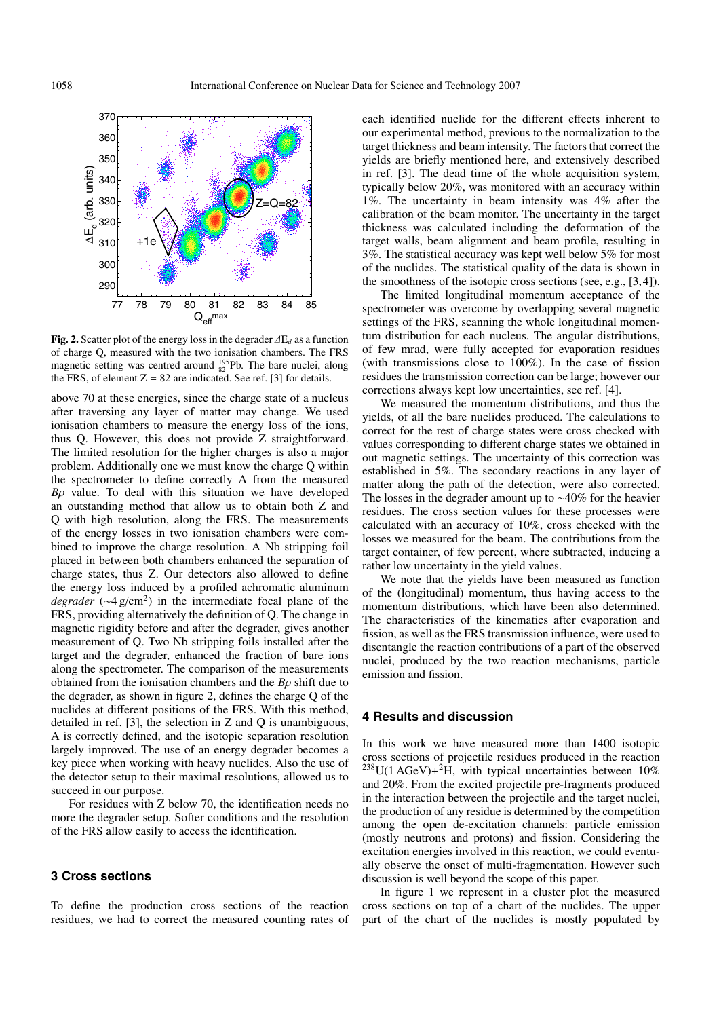

**Fig. 2.** Scatter plot of the energy loss in the degrader ∆E*<sup>d</sup>* as a function of charge Q, measured with the two ionisation chambers. The FRS magnetic setting was centred around  $^{195}_{82}$ Pb. The bare nuclei, along the FRS, of element  $Z = 82$  are indicated. See ref. [3] for details.

above 70 at these energies, since the charge state of a nucleus after traversing any layer of matter may change. We used ionisation chambers to measure the energy loss of the ions, thus Q. However, this does not provide Z straightforward. The limited resolution for the higher charges is also a major problem. Additionally one we must know the charge Q within the spectrometer to define correctly A from the measured  $B\rho$  value. To deal with this situation we have developed an outstanding method that allow us to obtain both Z and Q with high resolution, along the FRS. The measurements of the energy losses in two ionisation chambers were combined to improve the charge resolution. A Nb stripping foil placed in between both chambers enhanced the separation of charge states, thus Z. Our detectors also allowed to define the energy loss induced by a profiled achromatic aluminum *degrader* (∼4 g/cm<sup>2</sup>) in the intermediate focal plane of the FRS, providing alternatively the definition of Q. The change in magnetic rigidity before and after the degrader, gives another measurement of Q. Two Nb stripping foils installed after the target and the degrader, enhanced the fraction of bare ions along the spectrometer. The comparison of the measurements obtained from the ionisation chambers and the *B*ρ shift due to the degrader, as shown in figure 2, defines the charge Q of the nuclides at different positions of the FRS. With this method, detailed in ref. [3], the selection in Z and Q is unambiguous, A is correctly defined, and the isotopic separation resolution largely improved. The use of an energy degrader becomes a key piece when working with heavy nuclides. Also the use of the detector setup to their maximal resolutions, allowed us to succeed in our purpose.

For residues with Z below 70, the identification needs no more the degrader setup. Softer conditions and the resolution of the FRS allow easily to access the identification.

## **3 Cross sections**

To define the production cross sections of the reaction residues, we had to correct the measured counting rates of each identified nuclide for the different effects inherent to our experimental method, previous to the normalization to the target thickness and beam intensity. The factors that correct the yields are briefly mentioned here, and extensively described in ref. [3]. The dead time of the whole acquisition system, typically below 20%, was monitored with an accuracy within 1%. The uncertainty in beam intensity was 4% after the calibration of the beam monitor. The uncertainty in the target thickness was calculated including the deformation of the target walls, beam alignment and beam profile, resulting in 3%. The statistical accuracy was kept well below 5% for most of the nuclides. The statistical quality of the data is shown in the smoothness of the isotopic cross sections (see, e.g., [3, 4]).

The limited longitudinal momentum acceptance of the spectrometer was overcome by overlapping several magnetic settings of the FRS, scanning the whole longitudinal momentum distribution for each nucleus. The angular distributions, of few mrad, were fully accepted for evaporation residues (with transmissions close to 100%). In the case of fission residues the transmission correction can be large; however our corrections always kept low uncertainties, see ref. [4].

We measured the momentum distributions, and thus the yields, of all the bare nuclides produced. The calculations to correct for the rest of charge states were cross checked with values corresponding to different charge states we obtained in out magnetic settings. The uncertainty of this correction was established in 5%. The secondary reactions in any layer of matter along the path of the detection, were also corrected. The losses in the degrader amount up to ∼40% for the heavier residues. The cross section values for these processes were calculated with an accuracy of 10%, cross checked with the losses we measured for the beam. The contributions from the target container, of few percent, where subtracted, inducing a rather low uncertainty in the yield values.

We note that the yields have been measured as function of the (longitudinal) momentum, thus having access to the momentum distributions, which have been also determined. The characteristics of the kinematics after evaporation and fission, as well as the FRS transmission influence, were used to disentangle the reaction contributions of a part of the observed nuclei, produced by the two reaction mechanisms, particle emission and fission.

#### **4 Results and discussion**

In this work we have measured more than 1400 isotopic cross sections of projectile residues produced in the reaction  $^{238}$ U(1 AGeV)+<sup>2</sup>H, with typical uncertainties between 10% and 20%. From the excited projectile pre-fragments produced in the interaction between the projectile and the target nuclei, the production of any residue is determined by the competition among the open de-excitation channels: particle emission (mostly neutrons and protons) and fission. Considering the excitation energies involved in this reaction, we could eventually observe the onset of multi-fragmentation. However such discussion is well beyond the scope of this paper.

In figure 1 we represent in a cluster plot the measured cross sections on top of a chart of the nuclides. The upper part of the chart of the nuclides is mostly populated by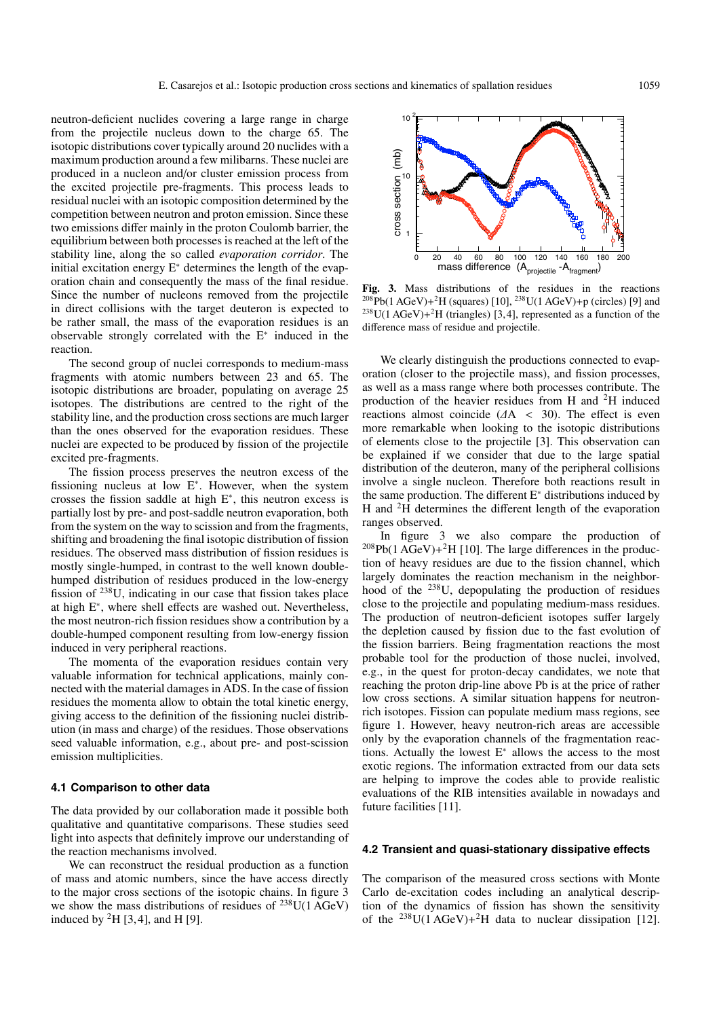neutron-deficient nuclides covering a large range in charge from the projectile nucleus down to the charge 65. The isotopic distributions cover typically around 20 nuclides with a maximum production around a few milibarns. These nuclei are produced in a nucleon and/or cluster emission process from the excited projectile pre-fragments. This process leads to residual nuclei with an isotopic composition determined by the competition between neutron and proton emission. Since these two emissions differ mainly in the proton Coulomb barrier, the equilibrium between both processes is reached at the left of the stability line, along the so called *evaporation corridor*. The initial excitation energy  $E^*$  determines the length of the evaporation chain and consequently the mass of the final residue. Since the number of nucleons removed from the projectile in direct collisions with the target deuteron is expected to be rather small, the mass of the evaporation residues is an observable strongly correlated with the E<sup>∗</sup> induced in the reaction.

The second group of nuclei corresponds to medium-mass fragments with atomic numbers between 23 and 65. The isotopic distributions are broader, populating on average 25 isotopes. The distributions are centred to the right of the stability line, and the production cross sections are much larger than the ones observed for the evaporation residues. These nuclei are expected to be produced by fission of the projectile excited pre-fragments.

The fission process preserves the neutron excess of the fissioning nucleus at low E∗. However, when the system crosses the fission saddle at high E∗, this neutron excess is partially lost by pre- and post-saddle neutron evaporation, both from the system on the way to scission and from the fragments, shifting and broadening the final isotopic distribution of fission residues. The observed mass distribution of fission residues is mostly single-humped, in contrast to the well known doublehumped distribution of residues produced in the low-energy fission of  $^{238}$ U, indicating in our case that fission takes place at high E∗, where shell effects are washed out. Nevertheless, the most neutron-rich fission residues show a contribution by a double-humped component resulting from low-energy fission induced in very peripheral reactions.

The momenta of the evaporation residues contain very valuable information for technical applications, mainly connected with the material damages in ADS. In the case of fission residues the momenta allow to obtain the total kinetic energy, giving access to the definition of the fissioning nuclei distribution (in mass and charge) of the residues. Those observations seed valuable information, e.g., about pre- and post-scission emission multiplicities.

#### **4.1 Comparison to other data**

The data provided by our collaboration made it possible both qualitative and quantitative comparisons. These studies seed light into aspects that definitely improve our understanding of the reaction mechanisms involved.

We can reconstruct the residual production as a function of mass and atomic numbers, since the have access directly to the major cross sections of the isotopic chains. In figure 3 we show the mass distributions of residues of  $^{238}$ U(1 AGeV) induced by  ${}^{2}H$  [3,4], and H [9].



**Fig. 3.** Mass distributions of the residues in the reactions  $^{208}Pb(1 \text{ AGeV})+^{2}H \text{ (squares) [10]},$   $^{238}U(1 \text{ AGeV})+p \text{ (circles) [9]}$  and  $238$ U(1 AGeV)+<sup>2</sup>H (triangles) [3,4], represented as a function of the difference mass of residue and projectile.

We clearly distinguish the productions connected to evaporation (closer to the projectile mass), and fission processes, as well as a mass range where both processes contribute. The production of the heavier residues from H and 2H induced reactions almost coincide ( $\Delta A$  < 30). The effect is even more remarkable when looking to the isotopic distributions of elements close to the projectile [3]. This observation can be explained if we consider that due to the large spatial distribution of the deuteron, many of the peripheral collisions involve a single nucleon. Therefore both reactions result in the same production. The different E<sup>∗</sup> distributions induced by H and 2H determines the different length of the evaporation ranges observed.

In figure 3 we also compare the production of  $208Pb(1 \overline{A}GeV)+$ <sup>2</sup>H [10]. The large differences in the production of heavy residues are due to the fission channel, which largely dominates the reaction mechanism in the neighborhood of the 238U, depopulating the production of residues close to the projectile and populating medium-mass residues. The production of neutron-deficient isotopes suffer largely the depletion caused by fission due to the fast evolution of the fission barriers. Being fragmentation reactions the most probable tool for the production of those nuclei, involved, e.g., in the quest for proton-decay candidates, we note that reaching the proton drip-line above Pb is at the price of rather low cross sections. A similar situation happens for neutronrich isotopes. Fission can populate medium mass regions, see figure 1. However, heavy neutron-rich areas are accessible only by the evaporation channels of the fragmentation reactions. Actually the lowest  $E^*$  allows the access to the most exotic regions. The information extracted from our data sets are helping to improve the codes able to provide realistic evaluations of the RIB intensities available in nowadays and future facilities [11].

#### **4.2 Transient and quasi-stationary dissipative effects**

The comparison of the measured cross sections with Monte Carlo de-excitation codes including an analytical description of the dynamics of fission has shown the sensitivity of the  $^{238}$ U(1 AGeV)+<sup>2</sup>H data to nuclear dissipation [12].